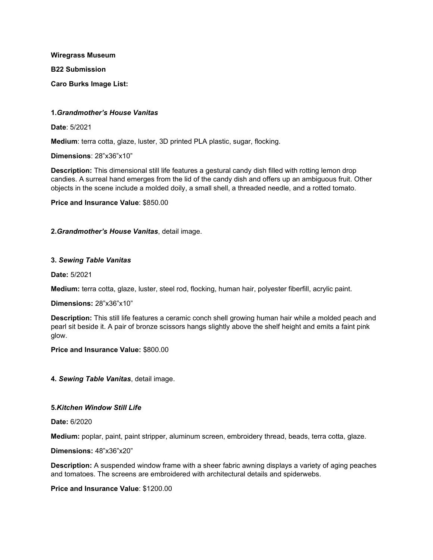**Wiregrass Museum B22 Submission Caro Burks Image List:**

## **1.***Grandmother's House Vanitas*

**Date**: 5/2021

**Medium**: terra cotta, glaze, luster, 3D printed PLA plastic, sugar, flocking.

**Dimensions**: 28"x36"x10"

**Description:** This dimensional still life features a gestural candy dish filled with rotting lemon drop candies. A surreal hand emerges from the lid of the candy dish and offers up an ambiguous fruit. Other objects in the scene include a molded doily, a small shell, a threaded needle, and a rotted tomato.

**Price and Insurance Value**: \$850.00

**2.***Grandmother's House Vanitas*, detail image.

## **3.** *Sewing Table Vanitas*

**Date:** 5/2021

**Medium:** terra cotta, glaze, luster, steel rod, flocking, human hair, polyester fiberfill, acrylic paint.

**Dimensions:** 28"x36"x10"

**Description:** This still life features a ceramic conch shell growing human hair while a molded peach and pearl sit beside it. A pair of bronze scissors hangs slightly above the shelf height and emits a faint pink glow.

**Price and Insurance Value:** \$800.00

**4.** *Sewing Table Vanitas*, detail image.

## **5.***Kitchen Window Still Life*

**Date:** 6/2020

**Medium:** poplar, paint, paint stripper, aluminum screen, embroidery thread, beads, terra cotta, glaze.

**Dimensions:** 48"x36"x20"

**Description:** A suspended window frame with a sheer fabric awning displays a variety of aging peaches and tomatoes. The screens are embroidered with architectural details and spiderwebs.

## **Price and Insurance Value**: \$1200.00